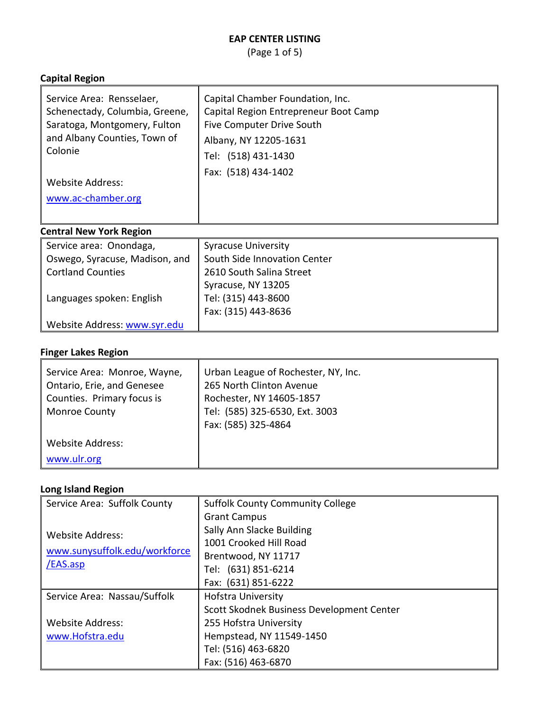(Page 1 of 5)

#### **Capital Region**

| Service Area: Rensselaer,<br>Schenectady, Columbia, Greene,<br>Saratoga, Montgomery, Fulton<br>and Albany Counties, Town of<br>Colonie | Capital Chamber Foundation, Inc.<br>Capital Region Entrepreneur Boot Camp<br>Five Computer Drive South<br>Albany, NY 12205-1631<br>Tel: (518) 431-1430<br>Fax: (518) 434-1402 |
|----------------------------------------------------------------------------------------------------------------------------------------|-------------------------------------------------------------------------------------------------------------------------------------------------------------------------------|
| Website Address:                                                                                                                       |                                                                                                                                                                               |
| www.ac-chamber.org                                                                                                                     |                                                                                                                                                                               |

# **Central New York Region**

| Service area: Onondaga,        | <b>Syracuse University</b>   |
|--------------------------------|------------------------------|
| Oswego, Syracuse, Madison, and | South Side Innovation Center |
| <b>Cortland Counties</b>       | 2610 South Salina Street     |
|                                | Syracuse, NY 13205           |
| Languages spoken: English      | Tel: (315) 443-8600          |
|                                | Fax: (315) 443-8636          |
| Website Address: www.syr.edu   |                              |

# **Finger Lakes Region**

| Service Area: Monroe, Wayne,<br>Ontario, Erie, and Genesee<br>Counties. Primary focus is<br><b>Monroe County</b> | Urban League of Rochester, NY, Inc.<br>265 North Clinton Avenue<br>Rochester, NY 14605-1857<br>Tel: (585) 325-6530, Ext. 3003<br>Fax: (585) 325-4864 |
|------------------------------------------------------------------------------------------------------------------|------------------------------------------------------------------------------------------------------------------------------------------------------|
| Website Address:<br>www.ulr.org                                                                                  |                                                                                                                                                      |

#### **Long Island Region**

| Service Area: Suffolk County                                         | <b>Suffolk County Community College</b>   |
|----------------------------------------------------------------------|-------------------------------------------|
|                                                                      | <b>Grant Campus</b>                       |
| <b>Website Address:</b><br>www.sunysuffolk.edu/workforce<br>/EAS.asp | Sally Ann Slacke Building                 |
|                                                                      | 1001 Crooked Hill Road                    |
|                                                                      | Brentwood, NY 11717                       |
|                                                                      | Tel: (631) 851-6214                       |
|                                                                      | Fax: (631) 851-6222                       |
| Service Area: Nassau/Suffolk                                         | <b>Hofstra University</b>                 |
|                                                                      | Scott Skodnek Business Development Center |
| <b>Website Address:</b>                                              | 255 Hofstra University                    |
| www.Hofstra.edu                                                      | Hempstead, NY 11549-1450                  |
|                                                                      | Tel: (516) 463-6820                       |
|                                                                      | Fax: (516) 463-6870                       |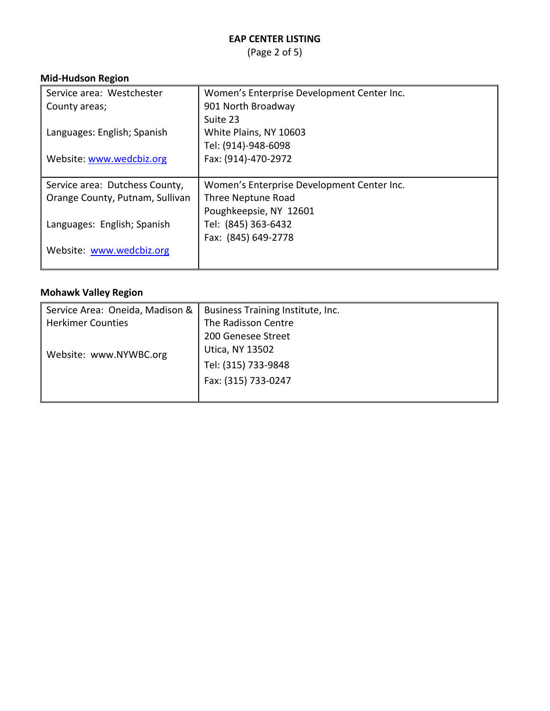(Page 2 of 5)

## **Mid-Hudson Region**

| Service area: Westchester       | Women's Enterprise Development Center Inc. |
|---------------------------------|--------------------------------------------|
| County areas;                   | 901 North Broadway                         |
|                                 | Suite 23                                   |
| Languages: English; Spanish     | White Plains, NY 10603                     |
|                                 | Tel: (914)-948-6098                        |
| Website: www.wedcbiz.org        | Fax: (914)-470-2972                        |
|                                 |                                            |
| Service area: Dutchess County,  | Women's Enterprise Development Center Inc. |
| Orange County, Putnam, Sullivan | Three Neptune Road                         |
|                                 | Poughkeepsie, NY 12601                     |
| Languages: English; Spanish     | Tel: (845) 363-6432                        |
|                                 | Fax: (845) 649-2778                        |
| Website: www.wedcbiz.org        |                                            |
|                                 |                                            |

## **Mohawk Valley Region**

| Service Area: Oneida, Madison & | Business Training Institute, Inc. |
|---------------------------------|-----------------------------------|
| <b>Herkimer Counties</b>        | The Radisson Centre               |
| Website: www.NYWBC.org          | 200 Genesee Street                |
|                                 | Utica, NY 13502                   |
|                                 | Tel: (315) 733-9848               |
|                                 | Fax: (315) 733-0247               |
|                                 |                                   |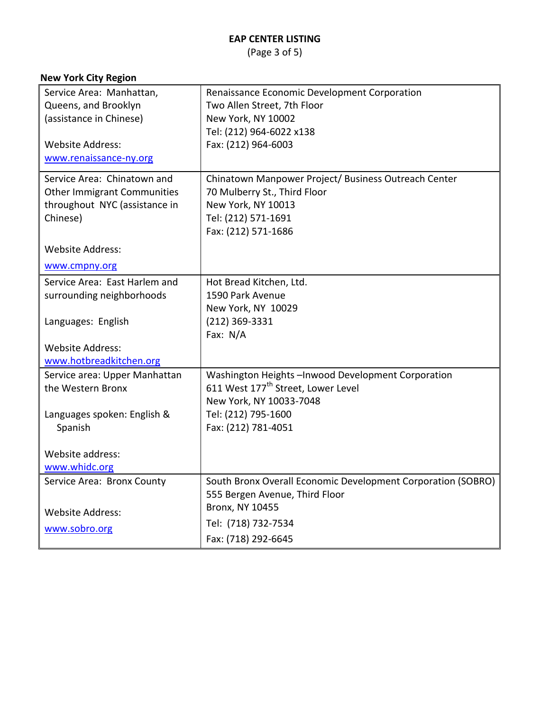(Page 3 of 5)

## **New York City Region**

| Service Area: Manhattan,           | Renaissance Economic Development Corporation                 |
|------------------------------------|--------------------------------------------------------------|
| Queens, and Brooklyn               | Two Allen Street, 7th Floor                                  |
| (assistance in Chinese)            | New York, NY 10002                                           |
|                                    | Tel: (212) 964-6022 x138                                     |
| <b>Website Address:</b>            | Fax: (212) 964-6003                                          |
| www.renaissance-ny.org             |                                                              |
| Service Area: Chinatown and        | Chinatown Manpower Project/ Business Outreach Center         |
| <b>Other Immigrant Communities</b> | 70 Mulberry St., Third Floor                                 |
| throughout NYC (assistance in      | New York, NY 10013                                           |
| Chinese)                           | Tel: (212) 571-1691                                          |
|                                    | Fax: (212) 571-1686                                          |
|                                    |                                                              |
| <b>Website Address:</b>            |                                                              |
| www.cmpny.org                      |                                                              |
| Service Area: East Harlem and      | Hot Bread Kitchen, Ltd.                                      |
| surrounding neighborhoods          | 1590 Park Avenue                                             |
|                                    | New York, NY 10029                                           |
| Languages: English                 | (212) 369-3331                                               |
|                                    | Fax: N/A                                                     |
| <b>Website Address:</b>            |                                                              |
| www.hotbreadkitchen.org            |                                                              |
| Service area: Upper Manhattan      | Washington Heights-Inwood Development Corporation            |
| the Western Bronx                  | 611 West 177 <sup>th</sup> Street, Lower Level               |
|                                    | New York, NY 10033-7048                                      |
| Languages spoken: English &        | Tel: (212) 795-1600                                          |
| Spanish                            | Fax: (212) 781-4051                                          |
|                                    |                                                              |
| Website address:                   |                                                              |
| www.whidc.org                      |                                                              |
| Service Area: Bronx County         | South Bronx Overall Economic Development Corporation (SOBRO) |
|                                    | 555 Bergen Avenue, Third Floor                               |
| <b>Website Address:</b>            | <b>Bronx, NY 10455</b>                                       |
|                                    | Tel: (718) 732-7534                                          |
| www.sobro.org                      | Fax: (718) 292-6645                                          |
|                                    |                                                              |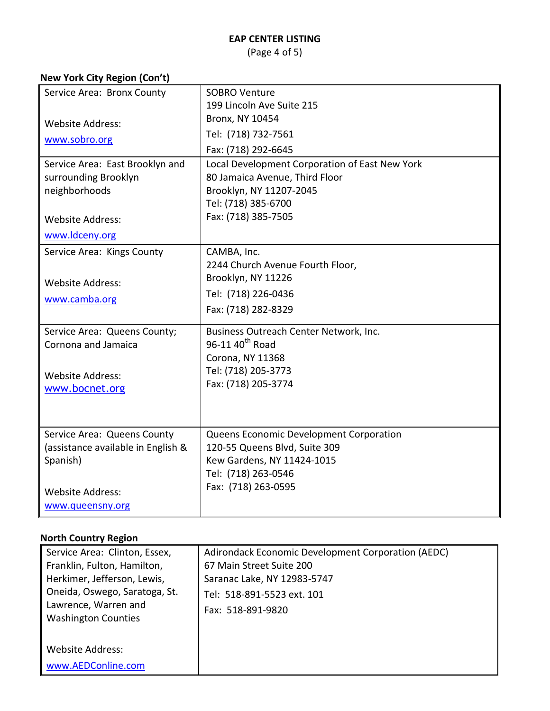(Page 4 of 5)

## **New York City Region (Con't)**

| Service Area: Bronx County            | <b>SOBRO Venture</b>                                      |
|---------------------------------------|-----------------------------------------------------------|
|                                       | 199 Lincoln Ave Suite 215<br><b>Bronx, NY 10454</b>       |
| <b>Website Address:</b>               |                                                           |
| www.sobro.org                         | Tel: (718) 732-7561                                       |
|                                       | Fax: (718) 292-6645                                       |
| Service Area: East Brooklyn and       | Local Development Corporation of East New York            |
| surrounding Brooklyn<br>neighborhoods | 80 Jamaica Avenue, Third Floor<br>Brooklyn, NY 11207-2045 |
|                                       | Tel: (718) 385-6700                                       |
| <b>Website Address:</b>               | Fax: (718) 385-7505                                       |
| www.ldceny.org                        |                                                           |
|                                       |                                                           |
| Service Area: Kings County            | CAMBA, Inc.                                               |
|                                       | 2244 Church Avenue Fourth Floor,<br>Brooklyn, NY 11226    |
| <b>Website Address:</b>               |                                                           |
| www.camba.org                         | Tel: (718) 226-0436                                       |
|                                       | Fax: (718) 282-8329                                       |
| Service Area: Queens County;          | Business Outreach Center Network, Inc.                    |
| Cornona and Jamaica                   | 96-11 40 <sup>th</sup> Road                               |
|                                       | Corona, NY 11368                                          |
| <b>Website Address:</b>               | Tel: (718) 205-3773                                       |
| www.bocnet.org                        | Fax: (718) 205-3774                                       |
|                                       |                                                           |
|                                       |                                                           |
| Service Area: Queens County           | Queens Economic Development Corporation                   |
| (assistance available in English &    | 120-55 Queens Blvd, Suite 309                             |
| Spanish)                              | Kew Gardens, NY 11424-1015                                |
|                                       | Tel: (718) 263-0546                                       |
| <b>Website Address:</b>               | Fax: (718) 263-0595                                       |
| www.queensny.org                      |                                                           |
|                                       |                                                           |

## **North Country Region**

| Service Area: Clinton, Essex,<br>Franklin, Fulton, Hamilton,<br>Herkimer, Jefferson, Lewis,<br>Oneida, Oswego, Saratoga, St.<br>Lawrence, Warren and<br><b>Washington Counties</b> | Adirondack Economic Development Corporation (AEDC)<br>67 Main Street Suite 200<br>Saranac Lake, NY 12983-5747<br>Tel: 518-891-5523 ext. 101<br>Fax: 518-891-9820 |
|------------------------------------------------------------------------------------------------------------------------------------------------------------------------------------|------------------------------------------------------------------------------------------------------------------------------------------------------------------|
| Website Address:                                                                                                                                                                   |                                                                                                                                                                  |
| www.AEDConline.com                                                                                                                                                                 |                                                                                                                                                                  |